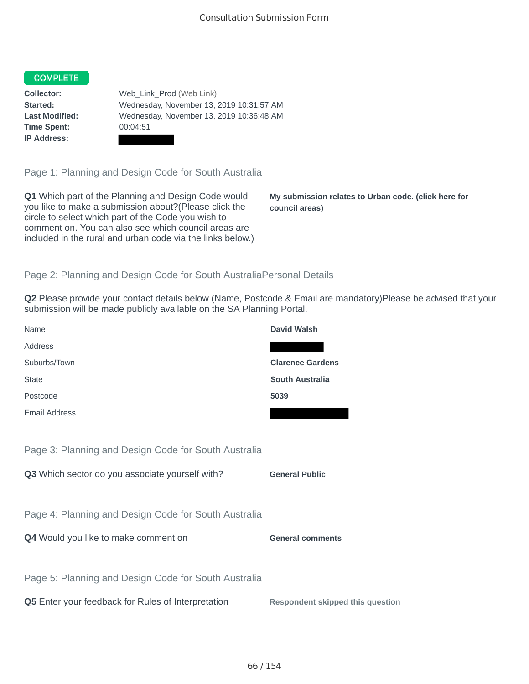## COMPLETE

**Time Spent:** 00:04:51 **IP Address:**

**Collector:** Web\_Link\_Prod (Web Link) **Started:** Wednesday, November 13, 2019 10:31:57 AM **Last Modified:** Wednesday, November 13, 2019 10:36:48 AM

Page 1: Planning and Design Code for South Australia

**Q1** Which part of the Planning and Design Code would you like to make a submission about?(Please click the circle to select which part of the Code you wish to comment on. You can also see which council areas are included in the rural and urban code via the links below.)

**My submission relates to Urban code. (click here for council areas)**

## Page 2: Planning and Design Code for South AustraliaPersonal Details

**Q2** Please provide your contact details below (Name, Postcode & Email are mandatory)Please be advised that your submission will be made publicly available on the SA Planning Portal.

| Name                                                 | <b>David Walsh</b>                      |
|------------------------------------------------------|-----------------------------------------|
| Address                                              |                                         |
| Suburbs/Town                                         | <b>Clarence Gardens</b>                 |
| <b>State</b>                                         | <b>South Australia</b>                  |
| Postcode                                             | 5039                                    |
| Email Address                                        |                                         |
|                                                      |                                         |
| Page 3: Planning and Design Code for South Australia |                                         |
| Q3 Which sector do you associate yourself with?      | <b>General Public</b>                   |
|                                                      |                                         |
| Page 4: Planning and Design Code for South Australia |                                         |
| Q4 Would you like to make comment on                 | <b>General comments</b>                 |
|                                                      |                                         |
| Page 5: Planning and Design Code for South Australia |                                         |
| Q5 Enter your feedback for Rules of Interpretation   | <b>Respondent skipped this question</b> |
|                                                      |                                         |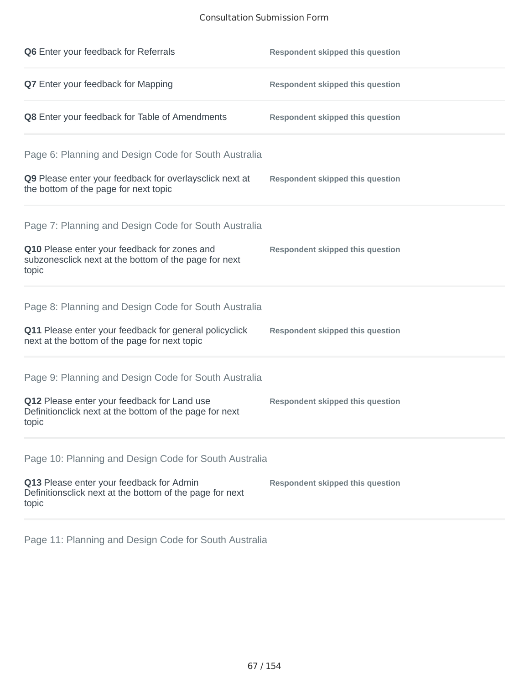## Consultation Submission Form

| Q6 Enter your feedback for Referrals                                                                            | <b>Respondent skipped this question</b> |
|-----------------------------------------------------------------------------------------------------------------|-----------------------------------------|
| Q7 Enter your feedback for Mapping                                                                              | <b>Respondent skipped this question</b> |
| Q8 Enter your feedback for Table of Amendments                                                                  | <b>Respondent skipped this question</b> |
| Page 6: Planning and Design Code for South Australia                                                            |                                         |
| Q9 Please enter your feedback for overlaysclick next at<br>the bottom of the page for next topic                | <b>Respondent skipped this question</b> |
| Page 7: Planning and Design Code for South Australia                                                            |                                         |
| Q10 Please enter your feedback for zones and<br>subzonesclick next at the bottom of the page for next<br>topic  | <b>Respondent skipped this question</b> |
| Page 8: Planning and Design Code for South Australia                                                            |                                         |
| Q11 Please enter your feedback for general policyclick<br>next at the bottom of the page for next topic         | <b>Respondent skipped this question</b> |
| Page 9: Planning and Design Code for South Australia                                                            |                                         |
| Q12 Please enter your feedback for Land use<br>Definitionclick next at the bottom of the page for next<br>topic | <b>Respondent skipped this question</b> |
| Page 10: Planning and Design Code for South Australia                                                           |                                         |
| Q13 Please enter your feedback for Admin<br>Definitionsclick next at the bottom of the page for next<br>topic   | <b>Respondent skipped this question</b> |

Page 11: Planning and Design Code for South Australia